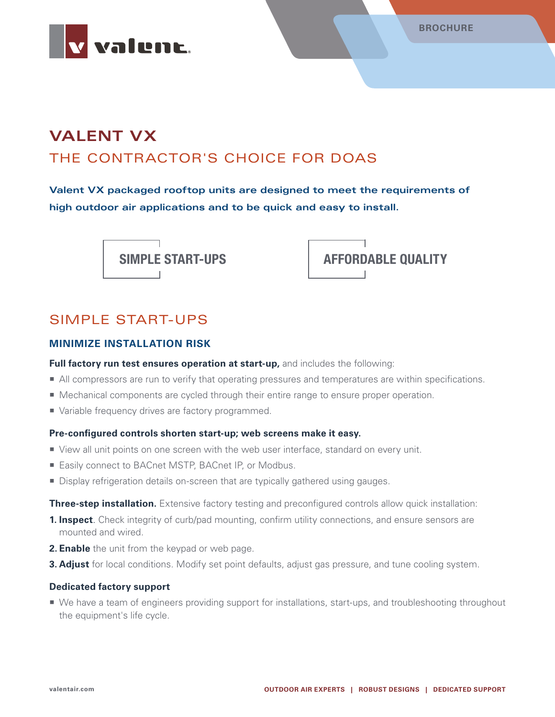

# **VALENT VX** THE CONTRACTOR'S CHOICE FOR DOAS

**Valent VX packaged rooftop units are designed to meet the requirements of high outdoor air applications and to be quick and easy to install.**





### SIMPLE START-UPS

#### **MINIMIZE INSTALLATION RISK**

Full factory run test ensures operation at start-up, and includes the following:

- All compressors are run to verify that operating pressures and temperatures are within specifications.
- **Mechanical components are cycled through their entire range to ensure proper operation.**
- Variable frequency drives are factory programmed.

#### **Pre-configured controls shorten start-up; web screens make it easy.**

- View all unit points on one screen with the web user interface, standard on every unit.
- Easily connect to BACnet MSTP, BACnet IP, or Modbus.
- **Display refrigeration details on-screen that are typically gathered using gauges.**

**Three-step installation.** Extensive factory testing and preconfigured controls allow quick installation:

- **1. Inspect**. Check integrity of curb/pad mounting, confirm utility connections, and ensure sensors are mounted and wired.
- **2. Enable** the unit from the keypad or web page.
- **3. Adjust** for local conditions. Modify set point defaults, adjust gas pressure, and tune cooling system.

#### **Dedicated factory support**

■ We have a team of engineers providing support for installations, start-ups, and troubleshooting throughout the equipment's life cycle.